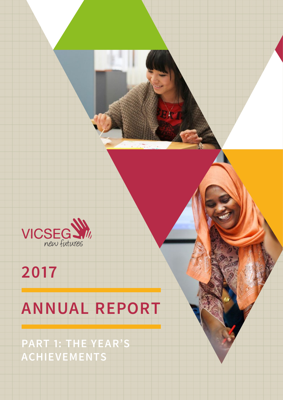

# **2017**

# **ANNUAL REPORT**

**PART 1: THE YEAR'S ACHIEVEMENTS**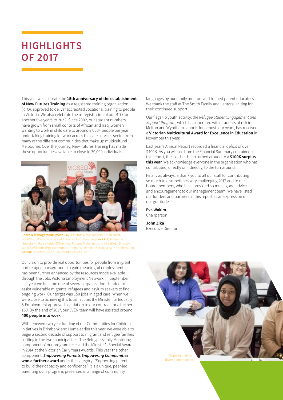### **HIGHLIGHTS OF 2017**

This year we celebrate the **15th anniversary of the establishment of New Futures Training** as a registered training organization (RTO), approved to deliver accredited vocational training to people in Victoria. We also celebrate the re-registration of our RTO for another five years to 2022. Since 2002, our student numbers have grown from small cohorts of African and Iraqi women wanting to work in child care to around 3,000+ people per year undertaking training for work across the care services sector from many of the different communities that make up multicultural Melbourne. Over the journey, New Futures Training has made these opportunities available to close to 30,000 individuals.



**Board & Management:** *(front L-R)* Directors Marie Vassallo, Liban Yusuf, Eva Wakim (Chairperson) and Annalivia Carli Hannan; *(back L-R)* Ivana Csar (Secretary), Maree Raftis (G/Mgr. New Futures Training), John Zika (Exec. Director), Janet Elefsiniotis (Mgr. Community Programs), Himalee Karunasena (Hon. Treasurer): *Absent:* Directors Lynne Beaumont & Phileas Lee.

Our vision to provide real opportunities for people from migrant and refugee backgrounds to gain meaningful employment has been further enhanced by the resources made available through the Jobs Victoria Employment Network. In September last year we became one of several organizations funded to assist vulnerable migrants, refugees and asylum seekers to find ongoing work. Our target was 150 jobs in aged care. When we were close to achieving this total in June, the Minister for Industry & Employment approved a variation to our contract for a further 150. By the end of 2017, our JVEN team will have assisted around **400 people into work**.

With renewed two year funding of our Communities for Children Initiatives in Brimbank and Hume earlier this year, we were able to begin a second decade of support to migrant and refugee families settling in the two municipalities. The Refugee Family Mentoring component of our program received the Minister's Special Award in 2014 at the Victorian Early Years Awards. This year the other component, *Empowering Parents Empowering Communities* **won a further award** under the category: "Supporting parents to build their capacity and confidence". It is a unique, peer-led parenting skills program, presented in a range of community

languages by our family mentors and trained parent educators. We thank the staff at The Smith Family and Lentara Uniting for their continued support.

Our flagship youth activity, the *Refugee Student Engagement and Support Program*, which has operated with students at risk in Melton and Wyndham schools for almost four years, has received a **Victorian Multicultural Award for Excellence in Education** in November this year.

Last year's Annual Report recorded a financial deficit of over \$400K. As you will see from the Financial Summary contained in this report, the loss has been turned around to a **\$100K surplus this year**. We acknowledge everyone in the organisation who has contributed, directly or indirectly, to the turnaround.

Finally as always, a thank you to all our staff for contributing so much to a sometimes very challenging 2017 and to our board members, who have provided so much good advice and encouragement to our management team. We have listed our funders and partners in this report as an expression of our gratitude.

**Eva Wakim** Chairperson

**John Zika** Executive Director

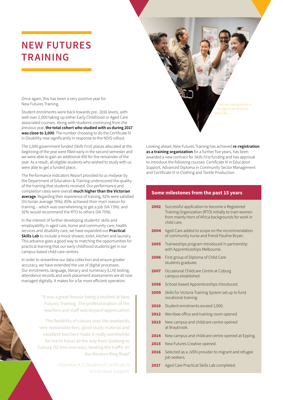### **NEW FUTURES TRAINING**

Once again, this has been a very positive year for New Futures Training.

Student enrolments were back towards pre- 2016 levels, with well over 2,000 taking up either Early Childhood or Aged Care associated courses. Along with students continuing from the previous year, **the total cohort who studied with us during 2017 was close to 3,000**. The number choosing to do the Certificate IV in Disability rose significantly in response to the NDIS rollout.

The 1,000 government funded (*Skills First*) places allocated at the beginning of the year were filled early in the second semester and we were able to gain an additional 450 for the remainder of the year. As a result, all eligible students who wished to study with us were able to get a funded place..

The Performance Indicators Report provided to us midyear by the Department of Education & Training underscored the quality of the training that students received. Our performance and completion rates were overall **much higher than the Victorian average**. Regarding their experience of training, 92% were satisfied (Victorian average 76%); 85% achieved their main reason for training – which was overwhelming to get a job (VA 73%): and 92% would recommend the RTO to others (VA 75%).

In the interest of further developing students' skills and employability in aged care, home and community care, health services and disability care, we have expanded our **Practical Skills Lab** to include a mock shower, toilet, kitchen and laundry. This advance goes a good way to matching the opportunities for practical learning that our early childhood students get in our campus-based child care centres.

In order to streamline our data collection and ensure greater accuracy, we have extended the use of digital processes. Our enrolments, language, literacy and numeracy (LLN) testing, attendance records and work placement assessments are all now managed digitally. It makes for a far more efficient operation.

> "It was a great honour being a student at New Futures Training. The professionalism of the teachers and staff was beyond appreciation.

The flexibility of classes over the weekends, very reasonable fees, good study material and excellent teachers made it really worthwhile for me to travel all the way from Geelong to Coburg (92 kms one way), beating the traffic on the Western Ring Road"

> – Chandran K.S (Student of Certificate III in Individual Support)



Looking ahead, New Futures Training has achieved **re-registration as a training organization** for a further five years, has been awarded a new contract for *Skills First* funding and has approval to introduce the following courses: Certificate III in Education Support, Advanced Diploma in Community Sector Management and Certificate III in Clothing and Textile Production.

### **Some milestones from the past 15 years**

- **2002** Successful application to become a Registered Training Organization (RTO) initially to train women from mainly Horn of Africa backgrounds for work in child care.
- 2004 Aged Care added to scope on the recommendation of community nurse and friend Pauline Bryan.
- 2005 Traineeships program introduced in partnership with Apprenticeships Melbourne.
- 2006 First group of Diploma of Child Care students graduate.
- 2007 Occasional Childcare Centre at Coburg campus established
- 2008 School-based Apprenticeships introduced.
- 2009 Skills for Victoria Training System set up to fund vocational training.
- 2010 Student enrolments exceed 1,000.
- 2012 Werribee office and training room opened
- 2013 New campus and childcare centre opened at Braybrook.
- 2014 New campus and childcare centre opened at Epping.
- 2015 New Futures Creative opened.
- 2016 Selected as a JVEN provider to migrant and refugee job seekers.
- 2017 Aged Care Practical Skills Lab completed.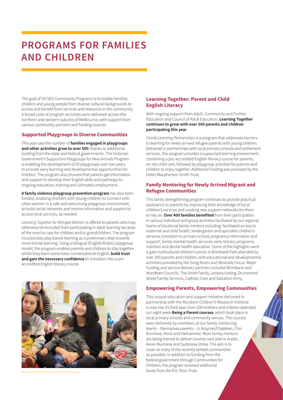### **PROGRAMS FOR FAMILIES AND CHILDREN**

The goal of VICSEG Community Programs is to enable families, children and young people from diverse cultural backgrounds to access and benefit from services and resources in the community. A broad suite of program activities were delivered across the northern and western suburbs of Melbourne, with support from various community partners and funding sources.

### **Supported Playgroups in Diverse Communities**

This year saw the number of **families engaged in playgroups and other activities grow to over 500**, thanks to additional funding from the state and federal governments. The Victorian Government's Supportive Playgroups for New Arrivals Program is enabling the development of 20 playgroups over two years to provide early learning and developmental opportunities for children. The program also ensures that parents get information and support to develop their English skills and pathways to ongoing education, training and ultimately employment.

**A family violence playgroup prevention program** has also been funded, enabling mothers with young children to connect with other women in a safe and welcoming playgroup environment, to build social networks and receive information and support to access local services, as needed.

*Learning Together for Refugee Women* is offered to parents who may otherwise be excluded from participating in adult learning because of the need to care for children and/or grandchildren. The program incorporates play based learning as a preliminary step towards more formal learning. Using a bilingual (English/Arabic) playgroup model, the program enables parents and children to stay together whilst they learn some basic conversational English, **build trust and gain the necessary confidence** to transition into a preaccredited English literacy course.



### **Learning Together: Parent and Child English Literacy**

With ongoing support from Adult, Community and Further Education and Council of Adult Education, **Learning Together continues to grow with over 300 parents and children participating this year**.

*Family Learning Partnerships* is a program that addresses barriers to learning for newly arrived refugee parents with young children. Delivered in partnerships with local primary schools and settlement services, this program provides a supported learning environment, combining a pre-accredited English literacy course for parents, on site child care, followed by playgroup activities for parents and children to enjoy together. Additional funding was provided by the Helen Macpherson Smith Trust.

### **Family Mentoring for Newly Arrived Migrant and Refugee Communities**

This family strengthening program continues to provide practical assistance to parents by improving their knowledge of local children's services and creating new support networks for them to rely on. **Over 400 families benefited** from their participation in various individual and group activities facilitated by our regional teams of bicultural family mentors including: facilitated access to maternal and child health, kindergarten and specialist children's services; transition to primary school; pregnancy information and support; family mental health services; early literacy programs; nutrition and dental health education. Some of the highlights were a gala multicultural children's picnic in Brimbank Park attended by over 300 parents and children, with educational and developmental activities provided by the Song Room and Westside Circus. Major funding and service delivery partners included Brimbank and Wyndham Councils, The Smith Family, Lentara Uniting, Drummond Street Family Services, Catholic Care and Salvation Army.

### **Empowering Parents, Empowering Communities**

This unique education and support initiative delivered in partnership with the Murdoch Children's Research Institute is now into its third year. Over 200 mothers and children attended our eight week **Being a Parent courses**, which took place in local primary schools and community venues. The courses were delivered by members of our family mentoring teams – themselves parents – in Assyrian/Chaldean, Chin Burmese, Hindi and Vietnamese. More family mentors are being trained to deliver courses next year in Arabic, Keren Burmese and Sudanese Dinka. The aim is to cover as many of the recently settled communities as possible. In addition to funding from the federal government through Communities for Children, the program received additional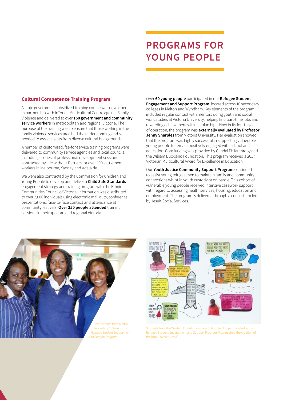### **PROGRAMS FOR YOUNG PEOPLE**

### **Cultural Competence Training Program**

A state government subsidized training course was developed in partnership with InTouch Multicultural Centre against Family Violence and delivered to over **150 government and community service workers** in metropolitan and regional Victoria. The purpose of the training was to ensure that those working in the family violence services area had the understanding and skills needed to assist clients from diverse cultural backgrounds.

A number of customized, fee-for-service training programs were delivered to community service agencies and local councils, including a series of professional development sessions contracted by Life without Barriers for over 100 settlement workers in Melbourne, Sydney and Adelaide.

We were also contracted by the Commission for Children and Young People to develop and deliver a **Child Safe Standards** engagement strategy and training program with the Ethnic Communities Council of Victoria. Information was distributed to over 3,000 individuals using electronic mail outs, conference presentations, face-to-face contact and attendance at community festivals. **Over 350 people attended** training sessions in metropolitan and regional Victoria.

Over **60 young people** participated in our **Refugee Student Engagement and Support Program**, located across 10 secondary colleges in Melton and Wyndham. Key elements of the program included regular contact with mentors doing youth and social work studies at Victoria University, helping find part-time jobs and rewarding achievement with scholarships. Now in its fourth year of operation, the program was **externally evaluated by Professor Jenny Sharples** from Victoria University. Her evaluation showed that the program was highly successful in supporting vulnerable young people to remain positively engaged with school and education. Core funding was provided by Gandel Philanthropy and the William Buckland Foundation. This program received a 2017 Victorian Multicultural Award for Excellence in Education.

Our **Youth Justice Community Support Program** continued to assist young refugee men to maintain family and community connections whilst in youth custody or on parole. This cohort of vulnerable young people received intensive casework support with regard to accessing health services, housing, education and employment. The program is delivered through a consortium led by Jesuit Social Services.





Students from the Western English Language School (WELS) participated in the Refugee Student Engagement and Support Program, that inspired the creation of the book '*My New Land*'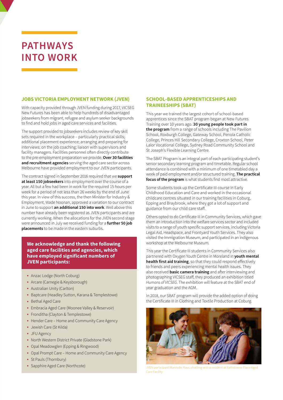### **PATHWAYS INTO WORK**

### **JOBS VICTORIA EMPLOYMENT NETWORK (JVEN)**

With capacity provided through JVEN funding during 2017, VICSEG New Futures has been able to help hundreds of disadvantaged jobseekers from migrant, refugee and asylum seeker backgrounds to find and hold jobs in aged care services and facilities.

The support provided to jobseekers includes review of key skill sets required in the workplace – particularly practical skills; additional placement experience; arranging and preparing for interviews; on the job coaching; liaison with supervisors and facility managers. Facilities personnel often directly contribute to the pre-employment preparation we provide. **Over 30 facilities and recruitment agencies** serving the aged care sector across Melbourne have provided employment to our JVEN participants.

The contract signed in September 2016 required that we **support at least 150 jobseekers** into employment over the course of a year. All but a few had been in work for the required 15 hours per week for a period of not less than 26 weeks by the end of June this year. In view of this success, the then Minister for Industry & Employment, Wade Noonan, approved a variation to our contract in June to support **an additional 150 into work**. Well above this number have already been registered as JVEN participants and are currently working. When the allocations for the JVEN second stage were announced in July we received funding for a **further 50 job placements** to be made in the eastern suburbs.

### **We acknowledge and thank the following aged care facilities and agencies, which have employed significant numbers of JVEN participants:**

- Anzac Lodge (North Coburg)
- Arcare (Carnegie & Keysborough)
- Australian Unity (Carlton)
- Baptcare (Headley Sutton, Karana & Templestowe)
- Bethal Aged Care
- Embracia Aged Care (Moonee Valley & Reservoir)
- Fronditha (Clayton & Templestowe)
- Hender Care Home and Community Care Agency
- Jewish Care (St Kilda)
- JFU Agency
- North Western District Private (Gladstone Park)
- Opal Meadowglen (Epping & Ringwood)
- Opal Prompt Care Home and Community Care Agency
- St Pauls (Thornbury)
- Sapphire Aged Care (Northcote)

### **SCHOOL-BASED APPRENTICESHIPS AND TRAINEESHIPS (SBAT)**

This year we trained the largest cohort of school-based apprentices since the SBAT program began at New Futures Training over 10 years ago. **30 young people took part in the program** from a range of schools including The Pavilion School, Roxburgh College, Gateway School, Penola Catholic College, Princes Hill Secondary College, Croxton School, Peter Lalor Vocational College, Sydney Road Community School and St Joseph's Flexible Learning Centre.

The SBAT Program is an integral part of each participating student's senior secondary learning program and timetable. Regular school attendance is combined with a minimum of one timetabled day a week of paid employment and/or structured training. **The practical focus of the program** is what students find most attractive.

Some students took up the Certificate III course in Early Childhood Education and Care and worked in the occasional childcare centres situated in our training facilities in Coburg, Epping and Braybrook, where they got a lot of support and guidance from our child care staff.

Others opted to do Certificate III in Community Services, which gave them an introduction into the welfare services sector and included visits to a range of youth specific support services, including Victoria Legal Aid, Headspace, and Frontyard Youth Services. They also visited the Immigration Museum, and participated in an indigenous workshop at the Melbourne Museum.

This year the Certificate III students in Community Services also partnered with Oxygen Youth Centre in Moreland in **youth mental health first aid training**, so that they could respond effectively to friends and peers experiencing mental health issues. They also received **basic camera training** and after interviewing and photographing VICSEG staff, they produced an exhibition titled *Humans of VICSEG*. The exhibition will feature at the SBAT end of year graduation and the AGM.

In 2018, our SBAT program will provide the added option of doing the Certificate III in Clothing and Textile Production at Coburg.



 $JVFN$  participant Maninder Kaur, chatting with a resident at  $R$ Care Facility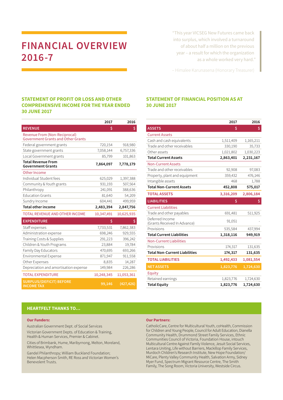### **FINANCIAL OVERVIEW 2016-7**

"This year VICSEG New Futures came back into surplus, which involved a turnaround of about half a million on the previous year – a result for which the organization as a whole worked very hard."

– Himalee Karunasena (Honorary Treasurer)

### **STATEMENT OF PROFIT OR LOSS AND OTHER COMPREHENSIVE INCOME FOR THE YEAR ENDED 30 JUNE 2017**

|                                                                                   | 2017       | 2016       |
|-----------------------------------------------------------------------------------|------------|------------|
| <b>REVENUE</b>                                                                    | Ś          | \$         |
| <b>Revenue From (Non-Reciprocal)</b><br><b>Government Grants and Other Grants</b> |            |            |
| Federal government grants                                                         | 720,154    | 918,980    |
| State government grants                                                           | 7,058,144  | 6,757,336  |
| Local Government grants                                                           | 85,799     | 101,863    |
| <b>Total Revenue From</b><br><b>Government Grants</b>                             | 7,864,097  | 7,778,179  |
| Other Income                                                                      |            |            |
| Individual Student fees                                                           | 625,029    | 1,397,388  |
| Community & Youth grants                                                          | 931,193    | 507,564    |
| Philanthropy                                                                      | 241,091    | 388,636    |
| <b>Education Grants</b>                                                           | 81,640     | 54,209     |
| Sundry Income                                                                     | 604,441    | 499,959    |
|                                                                                   |            |            |
| <b>Total other income</b>                                                         | 2,483,394  | 2,847,756  |
| <b>TOTAL REVENUE AND OTHER INCOME</b>                                             | 10,347,491 | 10,625,935 |
| <b>EXPENDITURE</b>                                                                | \$         | \$         |
| Staff expenses                                                                    | 7,733,531  | 7,862,383  |
| Administration expense                                                            | 698,246    | 929,555    |
| Training Costs & Supplies                                                         | 291,223    | 396,242    |
| Children & Youth Programs                                                         | 23,884     | 19,784     |
| Family Day Educators                                                              | 470,695    | 693,266    |
| Environmental Expense                                                             | 871,947    | 911,558    |
| Other Expenses                                                                    | 8,835      | 14,287     |
| Depreciation and amortisation expense                                             | 149,984    | 226,286    |
| <b>TOTAL EXPENDITURE</b>                                                          | 10,248,345 | 11,053,361 |

### **STATEMENT OF FINANCIAL POSITION AS AT 30 JUNE 2017**

|                                                 | 2017      | 2016      |
|-------------------------------------------------|-----------|-----------|
| <b>ASSETS</b>                                   | \$        | \$        |
| <b>Current Assets</b>                           |           |           |
| Cash and cash equivalents                       | 1,511,409 | 1,165,211 |
| Trade and other receivables                     | 330,190   | 35,733    |
| Other assets                                    | 1,021,802 | 1,030,223 |
| <b>Total Current Assets</b>                     | 2,863,401 | 2,231,167 |
| <b>Non-Current Assets</b>                       |           |           |
| Trade and other receivables                     | 92,908    | 97,083    |
| Property, plant and equipment                   | 359,432   | 476,146   |
| Intangible assets                               | 468       | 1,788     |
| <b>Total Non-Current Assets</b>                 | 452,808   | 575,017   |
| <b>TOTAL ASSETS</b>                             | 3,316,209 | 2,806,184 |
| <b>LIABILITIES</b>                              | \$        | \$        |
| <b>Current Liabilities</b>                      |           |           |
| Trade and other payables                        | 691,481   | 511,925   |
| Deferred Income<br>(Grants Received In Advance) | 91,051    |           |
| Provisions                                      | 535,584   | 437,994   |
| <b>Total Current Liabilities</b>                | 1,318,116 | 949,919   |
| <b>Non-Current Liabilities</b>                  |           |           |
| Provisions                                      | 174,317   | 131,635   |
| <b>Total Non-Current Liabilities</b>            | 174,317   | 131,635   |
| <b>TOTAL LIABILITIES</b>                        | 1,492,433 | 1,081,554 |
| <b>NET ASSETS</b>                               | 1,823,776 | 1,724,630 |
| Equity                                          |           |           |
| Retained earnings                               | 1,823,776 | 1,724,630 |
| <b>Total Equity</b>                             | 1,823,776 | 1,724,630 |

#### **HEARTFELT THANKS TO…**

#### **Our Funders:**

Australian Government Dept. of Social Services Victorian Government Depts. of Education & Training, Health & Human Services, Premier & Cabinet.

Cities of Brimbank, Hume, Maribyrnong, Melton, Moreland, Whittlesea, Wyndham.

Gandel Philanthropy; William Buckland Foundation; Helen Macpherson Smith, RE Ross and Victorian Women's Benevolent Trusts.

#### **Our Partners:**

CatholicCare, Centre for Multicultural Youth, coHealth, Commission for Children and Young People, Council for Adult Education, Dianella Community Health, Drummond Street Family Services, Ethnic Communities Council of Victoria, Foundation House, intouch Multicultural Centre Against Family Violence, Jesuit Social Services, Lentara Uniting, Life without Barriers, Mackillop Family Services, Murdoch Children's Research Institute, New Hope Foundation/ MiCare, Plenty Valley Community Health, Salvation Army, Sidney Myer Fund, Spectrum Migrant Resource Centre, The Smith Family, The Song Room, Victoria University, Westside Circus.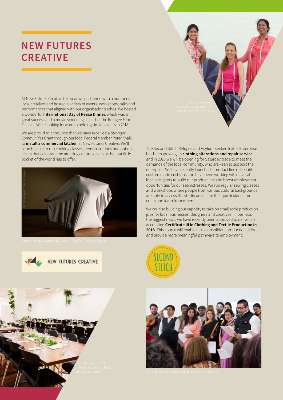### **NEW FUTURES CREATIVE**

At New Futures Creative this year we partnered with a number of local creatives and hosted a variety of events, workshops, talks and performances that aligned with our organisation's ethos. We hosted a wonderful **International Day of Peace Dinner**, which was a great success and a movie screening as part of the Refugee Film Festival. We're looking forward to holding similar events in 2018.

We are proud to announce that we have received a *Stronger Communities* Grant through our local Federal Member Peter Khalil to **install a commercial kitchen** at New Futures Creative. We'll soon be able to run cooking classes, demonstrations and put on feasts that celebrate the amazing cultural diversity that our little pocket of the world has to offer.







The Second Stitch Refugee and Asylum Seeker Textile Enterprise has been growing its **clothing alterations and repair service** and in 2018 we will be opening for Saturday trade to meet the demands of the local community, who are keen to support the enterprise. We have recently launched a product line of beautiful custom made cushions and have been working with several local designers to build our product line and boost employment opportunities for our seamstresses. We run regular sewing classes and workshops where people from various cultural backgrounds are able to access the studio and share their particular cultural crafts and learn from others.

We are also building our capacity to take on small scale production jobs for local businesses, designers and creatives. In perhaps the biggest news, we have recently been approved to deliver an accredited **Certificate III in Clothing and Textile Production in 2018**. This course will enable us to consolidate production skills and provide more meaningful pathways to employment.